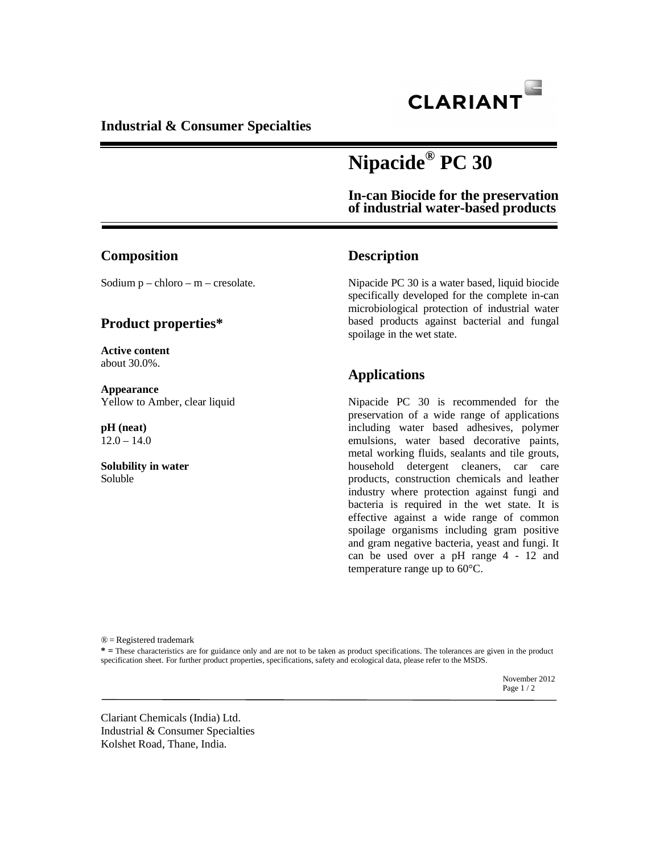

**Industrial & Consumer Specialties** 

# **Nipacide® PC 30**

**In-can Biocide for the preservation of industrial water-based products** 

#### **Composition**

Sodium  $p -$ chloro – m – cresolate.

#### **Product properties\***

**Active content** about 30.0%.

**Appearance**  Yellow to Amber, clear liquid

**pH (neat)**  $12.0 - 14.0$ 

**Solubility in water**  Soluble

#### **Description**

Nipacide PC 30 is a water based, liquid biocide specifically developed for the complete in-can microbiological protection of industrial water based products against bacterial and fungal spoilage in the wet state.

# **Applications**

Nipacide PC 30 is recommended for the preservation of a wide range of applications including water based adhesives, polymer emulsions, water based decorative paints, metal working fluids, sealants and tile grouts, household detergent cleaners, car care products, construction chemicals and leather industry where protection against fungi and bacteria is required in the wet state. It is effective against a wide range of common spoilage organisms including gram positive and gram negative bacteria, yeast and fungi. It can be used over a pH range 4 - 12 and temperature range up to 60°C.

® = Registered trademark

**\* =** These characteristics are for guidance only and are not to be taken as product specifications. The tolerances are given in the product specification sheet. For further product properties, specifications, safety and ecological data, please refer to the MSDS.

November 2012<br>Page 1 / 2 Page  $1/2$ 

Clariant Chemicals (India) Ltd. Industrial & Consumer Specialties Kolshet Road, Thane, India.